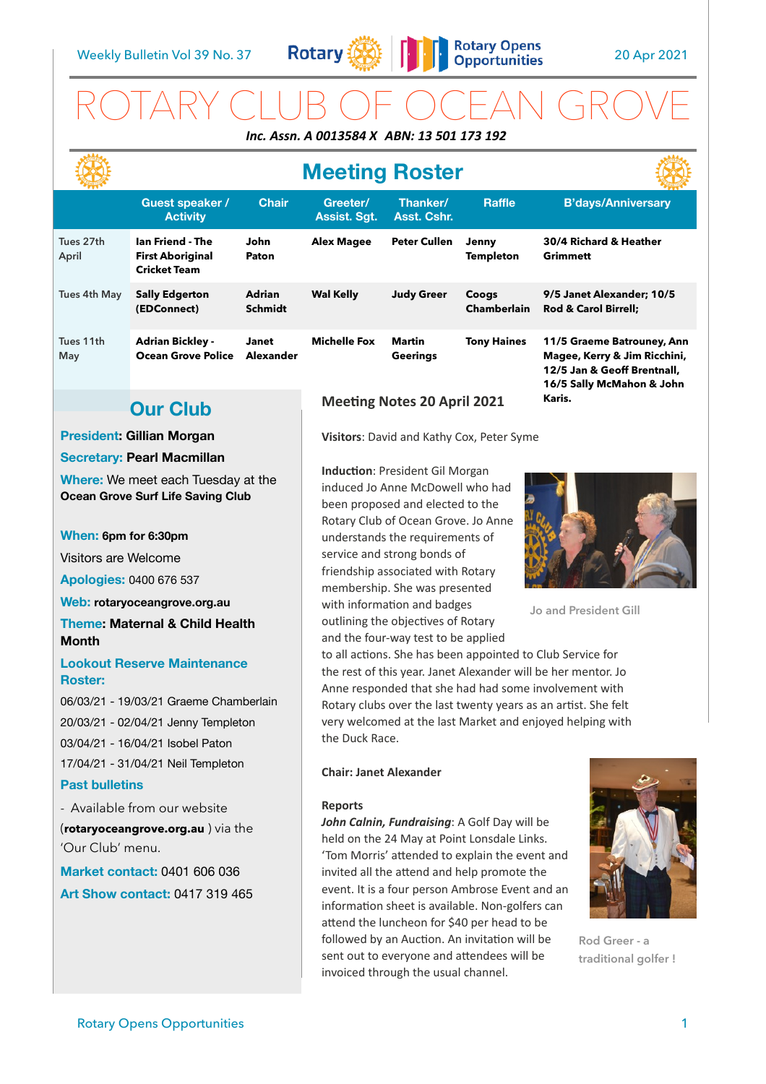

# ROTARY CLUB OF OCEAN GROVE *Inc. Assn. A 0013584 X ABN: 13 501 173 192*

## **Meeting Roster**

|                    |                                                                           |                                 |                          |                           |                             | - 1777 -                                                                                                               |
|--------------------|---------------------------------------------------------------------------|---------------------------------|--------------------------|---------------------------|-----------------------------|------------------------------------------------------------------------------------------------------------------------|
|                    | <b>Guest speaker /</b><br><b>Activity</b>                                 | <b>Chair</b>                    | Greeter/<br>Assist. Sgt. | Thanker/<br>Asst. Cshr.   | <b>Raffle</b>               | <b>B'days/Anniversary</b>                                                                                              |
| Tues 27th<br>April | <b>Ian Friend - The</b><br><b>First Aboriginal</b><br><b>Cricket Team</b> | John<br>Paton                   | <b>Alex Magee</b>        | <b>Peter Cullen</b>       | Jenny<br><b>Templeton</b>   | 30/4 Richard & Heather<br><b>Grimmett</b>                                                                              |
| Tues 4th May       | <b>Sally Edgerton</b><br>(EDConnect)                                      | <b>Adrian</b><br><b>Schmidt</b> | <b>Wal Kelly</b>         | <b>Judy Greer</b>         | Coogs<br><b>Chamberlain</b> | 9/5 Janet Alexander; 10/5<br><b>Rod &amp; Carol Birrell:</b>                                                           |
| Tues 11th<br>May   | <b>Adrian Bickley -</b><br><b>Ocean Grove Police</b>                      | <b>Janet</b><br>Alexander       | <b>Michelle Fox</b>      | Martin<br><b>Geerings</b> | <b>Tony Haines</b>          | 11/5 Graeme Batrouney, Ann<br>Magee, Kerry & Jim Ricchini,<br>12/5 Jan & Geoff Brentnall,<br>16/5 Sally McMahon & John |

### **Our Club**

#### **President: Gillian Morgan**

#### **Secretary: Pearl Macmillan**

**Where:** We meet each Tuesday at the **Ocean Grove Surf Life Saving Club** 

#### **When: 6pm for 6:30pm**

Visitors are Welcome

**Apologies:** 0400 676 537

**Web: [rotaryoceangrove.org.au](http://rotaryoceangrove.org.au)**

**Theme: Maternal & Child Health Month** 

#### **Lookout Reserve Maintenance Roster:**

06/03/21 - 19/03/21 Graeme Chamberlain

20/03/21 - 02/04/21 Jenny Templeton

03/04/21 - 16/04/21 Isobel Paton

17/04/21 - 31/04/21 Neil Templeton

#### **Past bulletins**

- Available from our website (**[rotaryoceangrove.org.au](http://rotaryoceangrove.org.au)** ) via the 'Our Club' menu.

**Market contact:** 0401 606 036 **Art Show contact:** 0417 319 465

### **Meeting Notes 20 April 2021**

**Visitors**: David and Kathy Cox, Peter Syme

**Induction**: President Gil Morgan induced Jo Anne McDowell who had been proposed and elected to the Rotary Club of Ocean Grove. Jo Anne understands the requirements of service and strong bonds of friendship associated with Rotary membership. She was presented with information and badges outlining the objectives of Rotary and the four-way test to be applied



**Jo and President Gill**

**Karis.**

to all actions. She has been appointed to Club Service for the rest of this year. Janet Alexander will be her mentor. Jo Anne responded that she had had some involvement with Rotary clubs over the last twenty years as an artist. She felt very welcomed at the last Market and enjoyed helping with the Duck Race.

#### **Chair: Janet Alexander**

#### **Reports**

*John Calnin, Fundraising*: A Golf Day will be held on the 24 May at Point Lonsdale Links. 'Tom Morris' attended to explain the event and invited all the attend and help promote the event. It is a four person Ambrose Event and an information sheet is available. Non-golfers can attend the luncheon for \$40 per head to be followed by an Auction. An invitation will be sent out to everyone and attendees will be invoiced through the usual channel.



**Rod Greer - a traditional golfer !**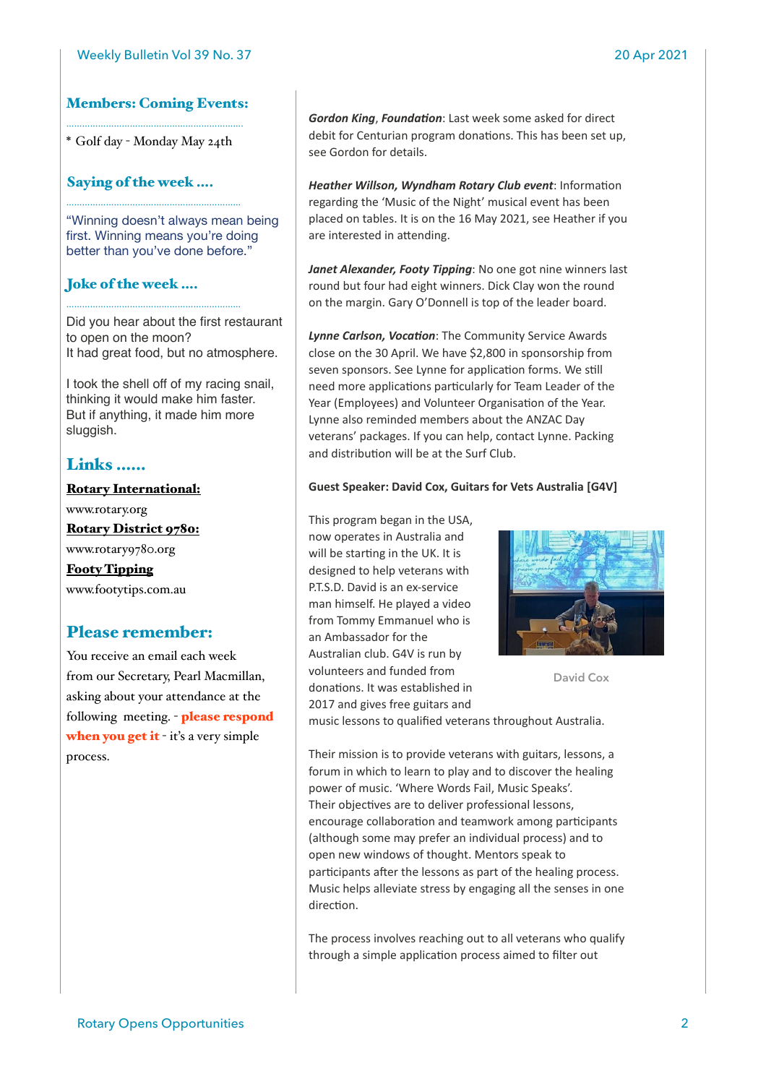#### Members: Coming Events: ………………………………………………………….

\* Golf day - Monday May 24th

…………………………………………………………

…………………………………………………………

#### Saying of the week ….

"Winning doesn't always mean being first. Winning means you're doing better than you've done before."

#### Joke of the week ….

Did you hear about the first restaurant to open on the moon? It had great food, but no atmosphere.

I took the shell off of my racing snail, thinking it would make him faster. But if anything, it made him more sluggish.

### Links ……

Rotary International: www.rotary.org Rotary District 9780: www.rotary9780.org Footy Tipping www.footytips.com.au

#### Please remember:

You receive an email each week from our Secretary, Pearl Macmillan, asking about your attendance at the following meeting. - please respond when you get it  $-i$  it's a very simple process.

*Gordon King*, *Foundation*: Last week some asked for direct debit for Centurian program donations. This has been set up, see Gordon for details.

*Heather Willson, Wyndham Rotary Club event*: Information regarding the 'Music of the Night' musical event has been placed on tables. It is on the 16 May 2021, see Heather if you are interested in attending.

*Janet Alexander, Footy Tipping*: No one got nine winners last round but four had eight winners. Dick Clay won the round on the margin. Gary O'Donnell is top of the leader board.

*Lynne Carlson, Vocation*: The Community Service Awards close on the 30 April. We have \$2,800 in sponsorship from seven sponsors. See Lynne for application forms. We still need more applications particularly for Team Leader of the Year (Employees) and Volunteer Organisation of the Year. Lynne also reminded members about the ANZAC Day veterans' packages. If you can help, contact Lynne. Packing and distribution will be at the Surf Club.

#### **Guest Speaker: David Cox, Guitars for Vets Australia [G4V]**

This program began in the USA, now operates in Australia and will be starting in the UK. It is designed to help veterans with P.T.S.D. David is an ex-service man himself. He played a video from Tommy Emmanuel who is an Ambassador for the Australian club. G4V is run by volunteers and funded from donations. It was established in 2017 and gives free guitars and



**David Cox**

music lessons to qualified veterans throughout Australia.

Their mission is to provide veterans with guitars, lessons, a forum in which to learn to play and to discover the healing power of music. 'Where Words Fail, Music Speaks'. Their objectives are to deliver professional lessons, encourage collaboration and teamwork among participants (although some may prefer an individual process) and to open new windows of thought. Mentors speak to participants after the lessons as part of the healing process. Music helps alleviate stress by engaging all the senses in one direction.

The process involves reaching out to all veterans who qualify through a simple application process aimed to filter out